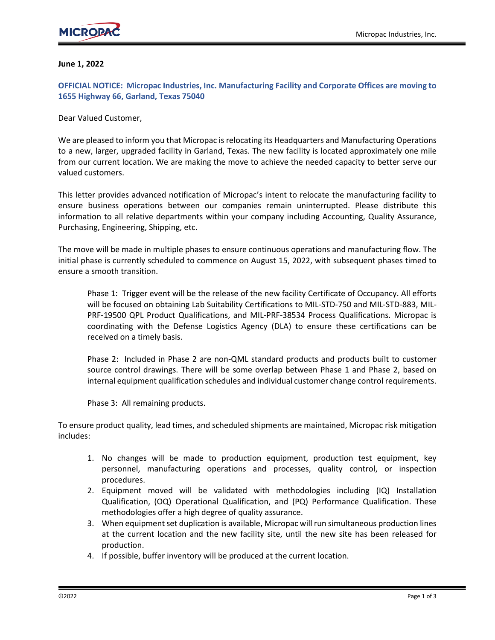#### **June 1, 2022**

**OFFICIAL NOTICE: Micropac Industries, Inc. Manufacturing Facility and Corporate Offices are moving to 1655 Highway 66, Garland, Texas 75040**

Dear Valued Customer,

We are pleased to inform you that Micropac is relocating its Headquarters and Manufacturing Operations to a new, larger, upgraded facility in Garland, Texas. The new facility is located approximately one mile from our current location. We are making the move to achieve the needed capacity to better serve our valued customers.

This letter provides advanced notification of Micropac's intent to relocate the manufacturing facility to ensure business operations between our companies remain uninterrupted. Please distribute this information to all relative departments within your company including Accounting, Quality Assurance, Purchasing, Engineering, Shipping, etc.

The move will be made in multiple phases to ensure continuous operations and manufacturing flow. The initial phase is currently scheduled to commence on August 15, 2022, with subsequent phases timed to ensure a smooth transition.

Phase 1: Trigger event will be the release of the new facility Certificate of Occupancy. All efforts will be focused on obtaining Lab Suitability Certifications to MIL-STD-750 and MIL-STD-883, MIL-PRF-19500 QPL Product Qualifications, and MIL-PRF-38534 Process Qualifications. Micropac is coordinating with the Defense Logistics Agency (DLA) to ensure these certifications can be received on a timely basis.

Phase 2: Included in Phase 2 are non-QML standard products and products built to customer source control drawings. There will be some overlap between Phase 1 and Phase 2, based on internal equipment qualification schedules and individual customer change control requirements.

Phase 3: All remaining products.

To ensure product quality, lead times, and scheduled shipments are maintained, Micropac risk mitigation includes:

- 1. No changes will be made to production equipment, production test equipment, key personnel, manufacturing operations and processes, quality control, or inspection procedures.
- 2. Equipment moved will be validated with methodologies including (IQ) Installation Qualification, (OQ) Operational Qualification, and (PQ) Performance Qualification. These methodologies offer a high degree of quality assurance.
- 3. When equipment set duplication is available, Micropac will run simultaneous production lines at the current location and the new facility site, until the new site has been released for production.
- 4. If possible, buffer inventory will be produced at the current location.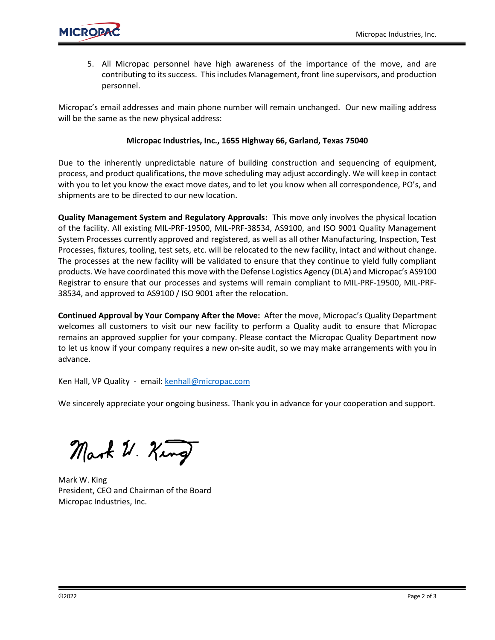

5. All Micropac personnel have high awareness of the importance of the move, and are contributing to its success. This includes Management, front line supervisors, and production personnel.

Micropac's email addresses and main phone number will remain unchanged. Our new mailing address will be the same as the new physical address:

#### **Micropac Industries, Inc., 1655 Highway 66, Garland, Texas 75040**

Due to the inherently unpredictable nature of building construction and sequencing of equipment, process, and product qualifications, the move scheduling may adjust accordingly. We will keep in contact with you to let you know the exact move dates, and to let you know when all correspondence, PO's, and shipments are to be directed to our new location.

**Quality Management System and Regulatory Approvals:** This move only involves the physical location of the facility. All existing MIL-PRF-19500, MIL-PRF-38534, AS9100, and ISO 9001 Quality Management System Processes currently approved and registered, as well as all other Manufacturing, Inspection, Test Processes, fixtures, tooling, test sets, etc. will be relocated to the new facility, intact and without change. The processes at the new facility will be validated to ensure that they continue to yield fully compliant products. We have coordinated this move with the Defense Logistics Agency (DLA) and Micropac's AS9100 Registrar to ensure that our processes and systems will remain compliant to MIL-PRF-19500, MIL-PRF-38534, and approved to AS9100 / ISO 9001 after the relocation.

**Continued Approval by Your Company After the Move:** After the move, Micropac's Quality Department welcomes all customers to visit our new facility to perform a Quality audit to ensure that Micropac remains an approved supplier for your company. Please contact the Micropac Quality Department now to let us know if your company requires a new on-site audit, so we may make arrangements with you in advance.

Ken Hall, VP Quality - email: [kenhall@micropac.com](mailto:kenhall@micropac.com)

We sincerely appreciate your ongoing business. Thank you in advance for your cooperation and support.

Mark U. King

Mark W. King President, CEO and Chairman of the Board Micropac Industries, Inc.